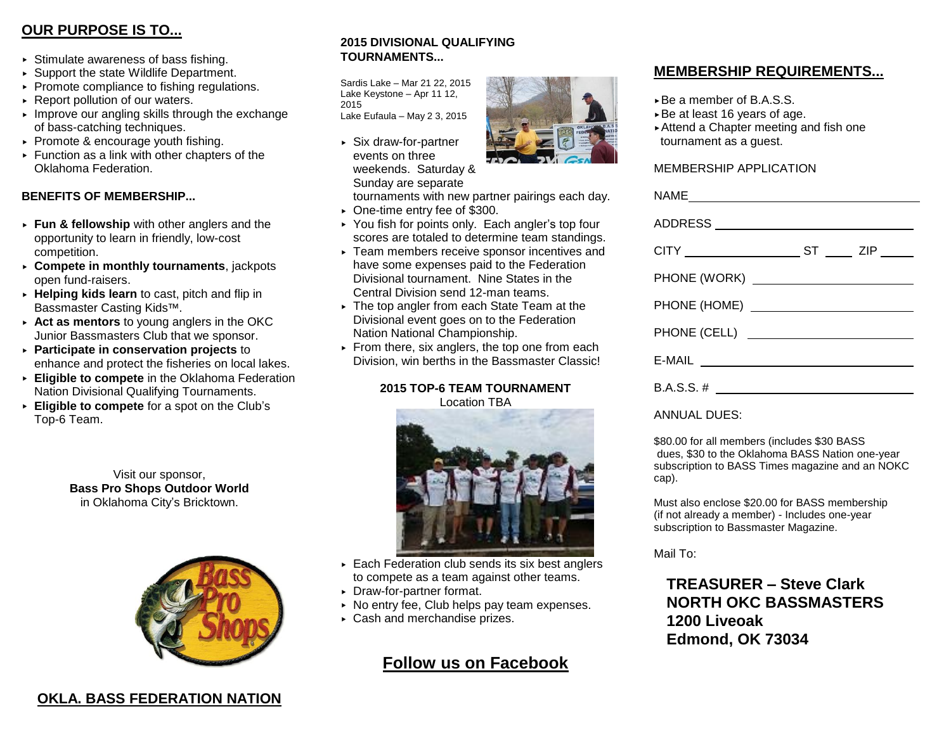# **OUR PURPOSE IS TO...**

- $\triangleright$  Stimulate awareness of bass fishing.
- ▶ Support the state Wildlife Department.
- $\triangleright$  Promote compliance to fishing regulations.
- ▶ Report pollution of our waters.
- $\blacktriangleright$  Improve our angling skills through the exchange of bass-catching techniques.
- $\triangleright$  Promote & encourage youth fishing.
- $\triangleright$  Function as a link with other chapters of the Oklahoma Federation.

### **BENEFITS OF MEMBERSHIP...**

- **Fun & fellowship** with other anglers and the opportunity to learn in friendly, low-cost competition.
- **Compete in monthly tournaments**, jackpots open fund-raisers.
- **Helping kids learn** to cast, pitch and flip in Bassmaster Casting Kids™.
- **Act as mentors** to young anglers in the OKC Junior Bassmasters Club that we sponsor.
- **Participate in conservation projects** to enhance and protect the fisheries on local lakes.
- **Eligible to compete** in the Oklahoma Federation Nation Divisional Qualifying Tournaments.
- **Eligible to compete** for a spot on the Club's Top-6 Team.

Visit our sponsor, **Bass Pro Shops Outdoor World** in Oklahoma City's Bricktown.



# **OKLA. BASS FEDERATION NATION**

### **2015 DIVISIONAL QUALIFYING TOURNAMENTS...**

Sardis Lake – Mar 21 22, 2015 Lake Keystone – Apr 11 12, 2015 Lake Eufaula – May 2 3, 2015

Six draw-for-partner events on three weekends. Saturday & Sunday are separate



tournaments with new partner pairings each day.

- One-time entry fee of \$300.
- ▶ You fish for points only. Each angler's top four scores are totaled to determine team standings.
- ▶ Team members receive sponsor incentives and have some expenses paid to the Federation Divisional tournament. Nine States in the Central Division send 12-man teams.
- The top angler from each State Team at the Divisional event goes on to the Federation Nation National Championship.
- $\triangleright$  From there, six anglers, the top one from each Division, win berths in the Bassmaster Classic!

#### **2015 TOP-6 TEAM TOURNAMENT** Location TBA



- Each Federation club sends its six best anglers to compete as a team against other teams.
- Draw-for-partner format.
- $\triangleright$  No entry fee, Club helps pay team expenses.
- Cash and merchandise prizes.

# **Follow us on Facebook**

## **MEMBERSHIP REQUIREMENTS...**

- ► Be a member of B.A.S.S.
- Be at least 16 years of age.
- Attend a Chapter meeting and fish one tournament as a guest.

#### MEMBERSHIP APPLICATION

#### ANNUAL DUES:

\$80.00 for all members (includes \$30 BASS dues, \$30 to the Oklahoma BASS Nation one-year subscription to BASS Times magazine and an NOKC cap).

Must also enclose \$20.00 for BASS membership (if not already a member) - Includes one-year subscription to Bassmaster Magazine.

Mail To:

**TREASURER – Steve Clark NORTH OKC BASSMASTERS 1200 Liveoak Edmond, OK 73034**